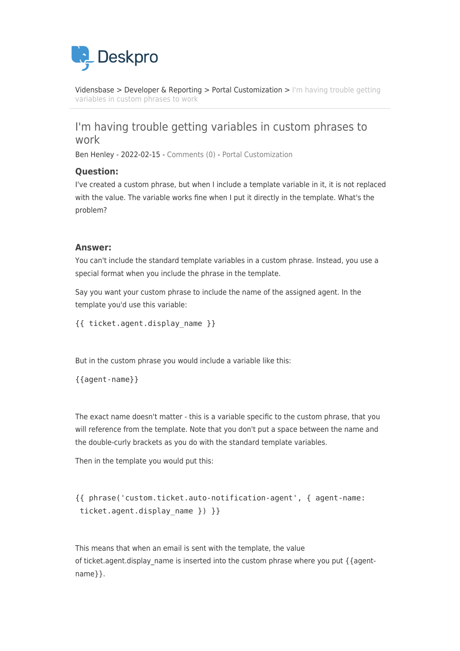

[Vidensbase](https://support.deskpro.com/da/kb) > [Developer & Reporting](https://support.deskpro.com/da/kb/developer-reporting) > [Portal Customization](https://support.deskpro.com/da/kb/portal-customization) > [I'm having trouble getting](https://support.deskpro.com/da/kb/articles/i-m-having-trouble-getting-variables-in-custom-phrases-to-work) [variables in custom phrases to work](https://support.deskpro.com/da/kb/articles/i-m-having-trouble-getting-variables-in-custom-phrases-to-work)

## I'm having trouble getting variables in custom phrases to work

Ben Henley - 2022-02-15 - [Comments \(0\)](#page--1-0) - [Portal Customization](https://support.deskpro.com/da/kb/portal-customization)

## **Question:**

I've created a custom phrase, but when I include a template variable in it, it is not replaced with the value. The variable works fine when I put it directly in the template. What's the problem?

## **Answer:**

You can't include the standard template variables in a custom phrase. Instead, you use a special format when you include the phrase in the template.

Say you want your custom phrase to include the name of the assigned agent. In the template you'd use this variable:

{{ ticket.agent.display\_name }}

But in the custom phrase you would include a variable like this:

{{agent-name}}

The exact name doesn't matter - this is a variable specific to the custom phrase, that you will reference from the template. Note that you don't put a space between the name and the double-curly brackets as you do with the standard template variables.

Then in the template you would put this:

```
{{ phrase('custom.ticket.auto-notification-agent', { agent-name:
ticket.agent.display_name }) }}
```
This means that when an email is sent with the template, the value of ticket.agent.display\_name is inserted into the custom phrase where you put { {agentname}}.